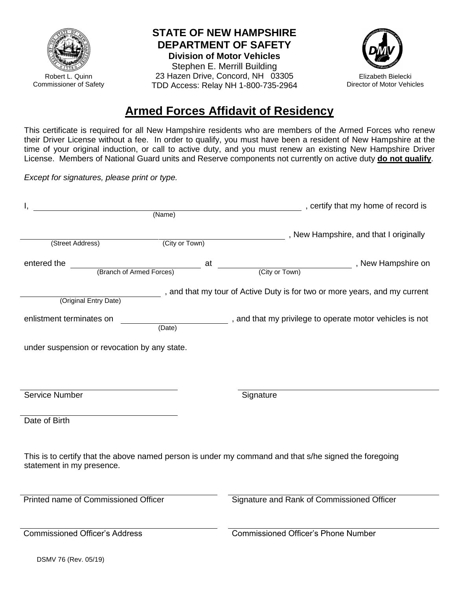

Robert L. Quinn Commissioner of Safety

## **STATE OF NEW HAMPSHIRE DEPARTMENT OF SAFETY**

**Division of Motor Vehicles** Stephen E. Merrill Building 23 Hazen Drive, Concord, NH 03305 TDD Access: Relay NH 1-800-735-2964



## **Armed Forces Affidavit of Residency**

This certificate is required for all New Hampshire residents who are members of the Armed Forces who renew their Driver License without a fee. In order to qualify, you must have been a resident of New Hampshire at the time of your original induction, or call to active duty, and you must renew an existing New Hampshire Driver License. Members of National Guard units and Reserve components not currently on active duty **do not qualify**.

*Except for signatures, please print or type.*

|                                              |                | (Name) (Name) (Name)                                                                                  |
|----------------------------------------------|----------------|-------------------------------------------------------------------------------------------------------|
|                                              |                |                                                                                                       |
| (Street Address)                             | (City or Town) | , New Hampshire, and that I originally                                                                |
|                                              |                |                                                                                                       |
| entered the<br>at (Branch of Armed Forces)   |                | (City or Town) , New Hampshire on                                                                     |
|                                              |                |                                                                                                       |
|                                              |                | , and that my tour of Active Duty is for two or more years, and my current                            |
| (Original Entry Date)                        |                |                                                                                                       |
| enlistment terminates on                     | (Date)         | , and that my privilege to operate motor vehicles is not                                              |
|                                              |                |                                                                                                       |
| under suspension or revocation by any state. |                |                                                                                                       |
|                                              |                |                                                                                                       |
|                                              |                |                                                                                                       |
|                                              |                |                                                                                                       |
| Service Number                               |                | Signature                                                                                             |
|                                              |                |                                                                                                       |
| Date of Birth                                |                |                                                                                                       |
|                                              |                |                                                                                                       |
|                                              |                | This is to certify that the above named person is under my command and that s/he signed the foregoing |
| statement in my presence.                    |                |                                                                                                       |
|                                              |                |                                                                                                       |
|                                              |                |                                                                                                       |
| Printed name of Commissioned Officer         |                | Signature and Rank of Commissioned Officer                                                            |
|                                              |                |                                                                                                       |
| <b>Commissioned Officer's Address</b>        |                | <b>Commissioned Officer's Phone Number</b>                                                            |
|                                              |                |                                                                                                       |
| DSMV 76 (Rev. 05/19)                         |                |                                                                                                       |